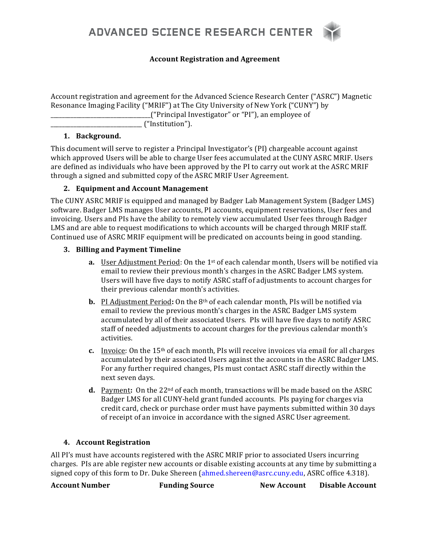

#### **Account Registration and Agreement**

Account registration and agreement for the Advanced Science Research Center ("ASRC") Magnetic Resonance Imaging Facility ("MRIF") at The City University of New York ("CUNY") by  $\Box$  ("Principal Investigator" or "PI"), an employee of

\_\_\_\_\_\_\_\_\_\_\_\_\_\_\_\_\_\_\_\_\_\_\_\_\_\_\_\_\_\_\_\_ ("Institution"). 

#### **1. Background.**

This document will serve to register a Principal Investigator's (PI) chargeable account against which approved Users will be able to charge User fees accumulated at the CUNY ASRC MRIF. Users are defined as individuals who have been approved by the PI to carry out work at the ASRC MRIF through a signed and submitted copy of the ASRC MRIF User Agreement.

## 2. **Equipment and Account Management**

The CUNY ASRC MRIF is equipped and managed by Badger Lab Management System (Badger LMS) software. Badger LMS manages User accounts, PI accounts, equipment reservations, User fees and invoicing. Users and PIs have the ability to remotely view accumulated User fees through Badger LMS and are able to request modifications to which accounts will be charged through MRIF staff. Continued use of ASRC MRIF equipment will be predicated on accounts being in good standing.

## **3. Billing and Payment Timeline**

- **a.** User Adjustment Period: On the 1<sup>st</sup> of each calendar month, Users will be notified via email to review their previous month's charges in the ASRC Badger LMS system. Users will have five days to notify ASRC staff of adjustments to account charges for their previous calendar month's activities.
- **b.** PI Adjustment Period: On the 8<sup>th</sup> of each calendar month, PIs will be notified via email to review the previous month's charges in the ASRC Badger LMS system accumulated by all of their associated Users. PIs will have five days to notify ASRC staff of needed adjustments to account charges for the previous calendar month's activities.
- **c.** Invoice: On the 15<sup>th</sup> of each month, PIs will receive invoices via email for all charges accumulated by their associated Users against the accounts in the ASRC Badger LMS. For any further required changes, PIs must contact ASRC staff directly within the next seven days.
- **d.** Payment: On the 22<sup>nd</sup> of each month, transactions will be made based on the ASRC Badger LMS for all CUNY-held grant funded accounts. PIs paying for charges via credit card, check or purchase order must have payments submitted within 30 days of receipt of an invoice in accordance with the signed ASRC User agreement.

# **4. Account Registration**

All PI's must have accounts registered with the ASRC MRIF prior to associated Users incurring charges. PIs are able register new accounts or disable existing accounts at any time by submitting a signed copy of this form to Dr. Duke Shereen (ahmed.shereen@asrc.cuny.edu, ASRC office 4.318).

Account Number *Funding Source* **New Account** Disable Account